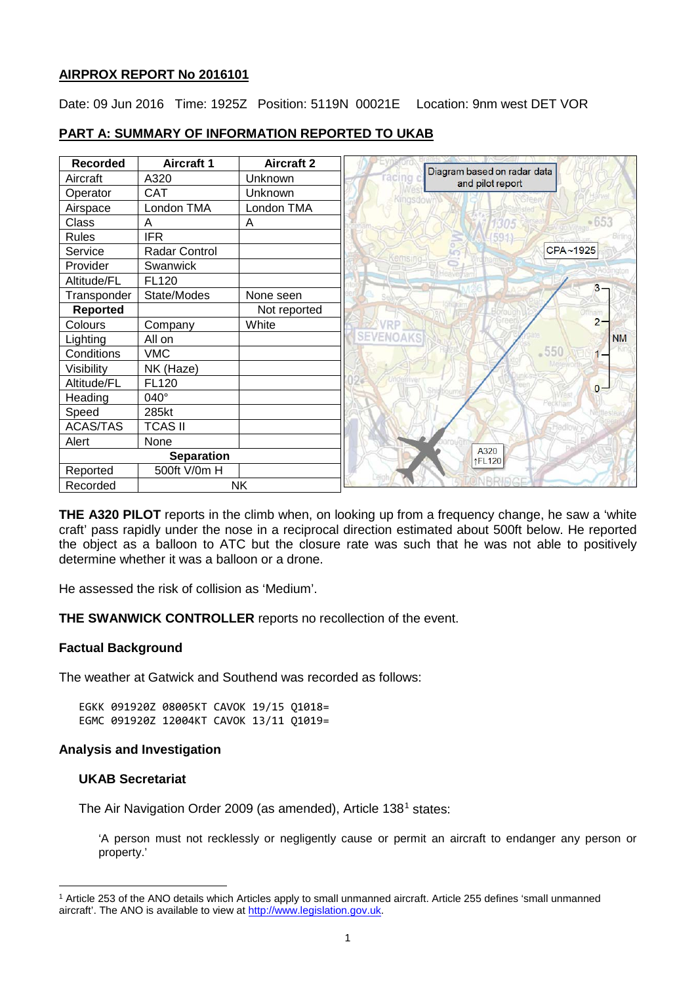#### **AIRPROX REPORT No 2016101**

Date: 09 Jun 2016 Time: 1925Z Position: 5119N 00021E Location: 9nm west DET VOR

| <b>Recorded</b> | <b>Aircraft 1</b> | <b>Aircraft 2</b> |        |                                                 |          |
|-----------------|-------------------|-------------------|--------|-------------------------------------------------|----------|
| Aircraft        | A320              | Unknown           | racino | Diagram based on radar data<br>and pilot report |          |
| Operator        | <b>CAT</b>        | Unknown           |        |                                                 |          |
| Airspace        | London TMA        | London TMA        |        |                                                 |          |
| Class           | A                 | A                 |        |                                                 |          |
| <b>Rules</b>    | <b>IFR</b>        |                   |        |                                                 |          |
| Service         | Radar Control     |                   |        |                                                 | CPA~1925 |
| Provider        | Swanwick          |                   |        |                                                 |          |
| Altitude/FL     | <b>FL120</b>      |                   |        |                                                 |          |
| Transponder     | State/Modes       | None seen         |        |                                                 |          |
| Reported        |                   | Not reported      |        |                                                 |          |
| Colours         | Company           | White             |        |                                                 |          |
| Lighting        | All on            |                   |        |                                                 |          |
| Conditions      | <b>VMC</b>        |                   |        |                                                 | $-550$   |
| Visibility      | NK (Haze)         |                   |        |                                                 |          |
| Altitude/FL     | FL120             |                   |        |                                                 |          |
| Heading         | 040°              |                   |        |                                                 | Peckham  |
| Speed           | 285kt             |                   |        |                                                 |          |
| <b>ACAS/TAS</b> | <b>TCAS II</b>    |                   |        |                                                 |          |
| Alert           | None              |                   |        |                                                 |          |
|                 | <b>Separation</b> |                   |        | A320<br>↑FL120                                  |          |
| Reported        | 500ft V/0m H      |                   |        |                                                 |          |
| Recorded        |                   | <b>NK</b>         |        |                                                 |          |

# **PART A: SUMMARY OF INFORMATION REPORTED TO UKAB**

**THE A320 PILOT** reports in the climb when, on looking up from a frequency change, he saw a 'white craft' pass rapidly under the nose in a reciprocal direction estimated about 500ft below. He reported the object as a balloon to ATC but the closure rate was such that he was not able to positively determine whether it was a balloon or a drone.

He assessed the risk of collision as 'Medium'.

**THE SWANWICK CONTROLLER** reports no recollection of the event.

## **Factual Background**

The weather at Gatwick and Southend was recorded as follows:

EGKK 091920Z 08005KT CAVOK 19/15 Q1018= EGMC 091920Z 12004KT CAVOK 13/11 Q1019=

### **Analysis and Investigation**

## **UKAB Secretariat**

The Air Navigation Order 2009 (as amended), Article [1](#page-0-0)38<sup>1</sup> states:

'A person must not recklessly or negligently cause or permit an aircraft to endanger any person or property.'

<span id="page-0-0"></span>l <sup>1</sup> Article 253 of the ANO details which Articles apply to small unmanned aircraft. Article 255 defines 'small unmanned aircraft'. The ANO is available to view at [http://www.legislation.gov.uk.](http://www.legislation.gov.uk/)